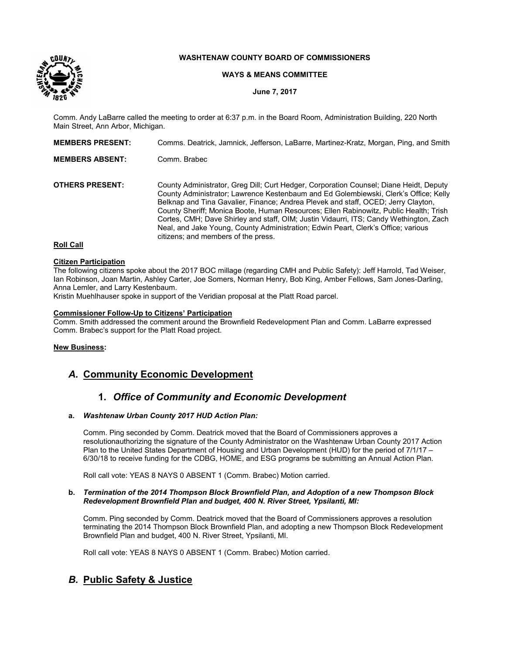

## **WASHTENAW COUNTY BOARD OF COMMISSIONERS**

### **WAYS & MEANS COMMITTEE**

**June 7, 2017**

Comm. Andy LaBarre called the meeting to order at 6:37 p.m. in the Board Room, Administration Building, 220 North Main Street, Ann Arbor, Michigan.

| <b>MEMBERS PRESENT:</b> | Comms. Deatrick, Jamnick, Jefferson, LaBarre, Martinez-Kratz, Morgan, Ping, and Smith                                                                                                                                                                                                                                                                                                                                                                                                                                                                                              |
|-------------------------|------------------------------------------------------------------------------------------------------------------------------------------------------------------------------------------------------------------------------------------------------------------------------------------------------------------------------------------------------------------------------------------------------------------------------------------------------------------------------------------------------------------------------------------------------------------------------------|
| <b>MEMBERS ABSENT:</b>  | Comm. Brabec                                                                                                                                                                                                                                                                                                                                                                                                                                                                                                                                                                       |
| <b>OTHERS PRESENT:</b>  | County Administrator, Greg Dill; Curt Hedger, Corporation Counsel; Diane Heidt, Deputy<br>County Administrator; Lawrence Kestenbaum and Ed Golembiewski, Clerk's Office; Kelly<br>Belknap and Tina Gavalier, Finance; Andrea Plevek and staff, OCED; Jerry Clayton,<br>County Sheriff; Monica Boote, Human Resources; Ellen Rabinowitz, Public Health; Trish<br>Cortes, CMH; Dave Shirley and staff, OIM; Justin Vidaurri, ITS; Candy Wethington, Zach<br>Neal, and Jake Young, County Administration; Edwin Peart, Clerk's Office; various<br>citizens; and members of the press. |
| <b>DAILOAIL</b>         |                                                                                                                                                                                                                                                                                                                                                                                                                                                                                                                                                                                    |

# **Roll Call**

## **Citizen Participation**

The following citizens spoke about the 2017 BOC millage (regarding CMH and Public Safety): Jeff Harrold, Tad Weiser, Ian Robinson, Joan Martin, Ashley Carter, Joe Somers, Norman Henry, Bob King, Amber Fellows, Sam Jones-Darling, Anna Lemler, and Larry Kestenbaum.

Kristin Muehlhauser spoke in support of the Veridian proposal at the Platt Road parcel.

#### **Commissioner Follow-Up to Citizens' Participation**

Comm. Smith addressed the comment around the Brownfield Redevelopment Plan and Comm. LaBarre expressed Comm. Brabec's support for the Platt Road project.

### **New Business:**

## *A.* **Community Economic Development**

## **1.** *Office of Community and Economic Development*

### **a.** *Washtenaw Urban County 2017 HUD Action Plan:*

Comm. Ping seconded by Comm. Deatrick moved that the Board of Commissioners approves a resolutionauthorizing the signature of the County Administrator on the Washtenaw Urban County 2017 Action Plan to the United States Department of Housing and Urban Development (HUD) for the period of 7/1/17 – 6/30/18 to receive funding for the CDBG, HOME, and ESG programs be submitting an Annual Action Plan.

Roll call vote: YEAS 8 NAYS 0 ABSENT 1 (Comm. Brabec) Motion carried.

#### **b.** *Termination of the 2014 Thompson Block Brownfield Plan, and Adoption of a new Thompson Block Redevelopment Brownfield Plan and budget, 400 N. River Street, Ypsilanti, MI:*

Comm. Ping seconded by Comm. Deatrick moved that the Board of Commissioners approves a resolution terminating the 2014 Thompson Block Brownfield Plan, and adopting a new Thompson Block Redevelopment Brownfield Plan and budget, 400 N. River Street, Ypsilanti, MI.

Roll call vote: YEAS 8 NAYS 0 ABSENT 1 (Comm. Brabec) Motion carried.

## *B.* **Public Safety & Justice**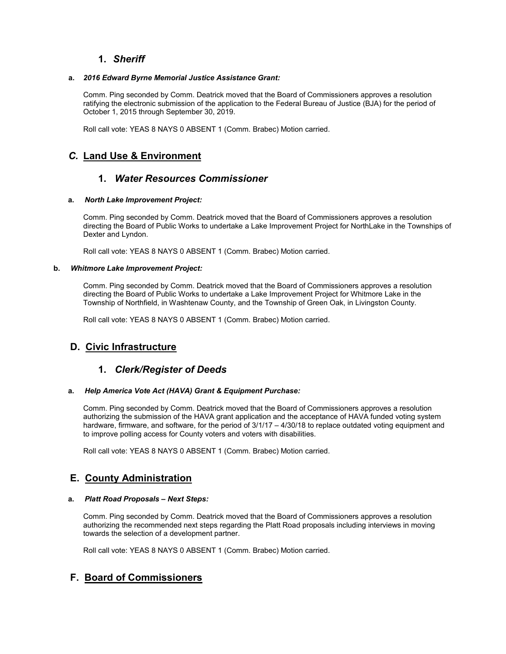## **1.** *Sheriff*

### **a.** *2016 Edward Byrne Memorial Justice Assistance Grant:*

Comm. Ping seconded by Comm. Deatrick moved that the Board of Commissioners approves a resolution ratifying the electronic submission of the application to the Federal Bureau of Justice (BJA) for the period of October 1, 2015 through September 30, 2019.

Roll call vote: YEAS 8 NAYS 0 ABSENT 1 (Comm. Brabec) Motion carried.

# *C.* **Land Use & Environment**

## **1.** *Water Resources Commissioner*

### **a.** *North Lake Improvement Project:*

Comm. Ping seconded by Comm. Deatrick moved that the Board of Commissioners approves a resolution directing the Board of Public Works to undertake a Lake Improvement Project for NorthLake in the Townships of Dexter and Lyndon.

Roll call vote: YEAS 8 NAYS 0 ABSENT 1 (Comm. Brabec) Motion carried.

### **b.** *Whitmore Lake Improvement Project:*

Comm. Ping seconded by Comm. Deatrick moved that the Board of Commissioners approves a resolution directing the Board of Public Works to undertake a Lake Improvement Project for Whitmore Lake in the Township of Northfield, in Washtenaw County, and the Township of Green Oak, in Livingston County.

Roll call vote: YEAS 8 NAYS 0 ABSENT 1 (Comm. Brabec) Motion carried.

# **D. Civic Infrastructure**

## **1.** *Clerk/Register of Deeds*

## **a.** *Help America Vote Act (HAVA) Grant & Equipment Purchase:*

Comm. Ping seconded by Comm. Deatrick moved that the Board of Commissioners approves a resolution authorizing the submission of the HAVA grant application and the acceptance of HAVA funded voting system hardware, firmware, and software, for the period of  $3/1/17 - 4/30/18$  to replace outdated voting equipment and to improve polling access for County voters and voters with disabilities.

Roll call vote: YEAS 8 NAYS 0 ABSENT 1 (Comm. Brabec) Motion carried.

## **E. County Administration**

## **a.** *Platt Road Proposals – Next Steps:*

Comm. Ping seconded by Comm. Deatrick moved that the Board of Commissioners approves a resolution authorizing the recommended next steps regarding the Platt Road proposals including interviews in moving towards the selection of a development partner.

Roll call vote: YEAS 8 NAYS 0 ABSENT 1 (Comm. Brabec) Motion carried.

# **F. Board of Commissioners**